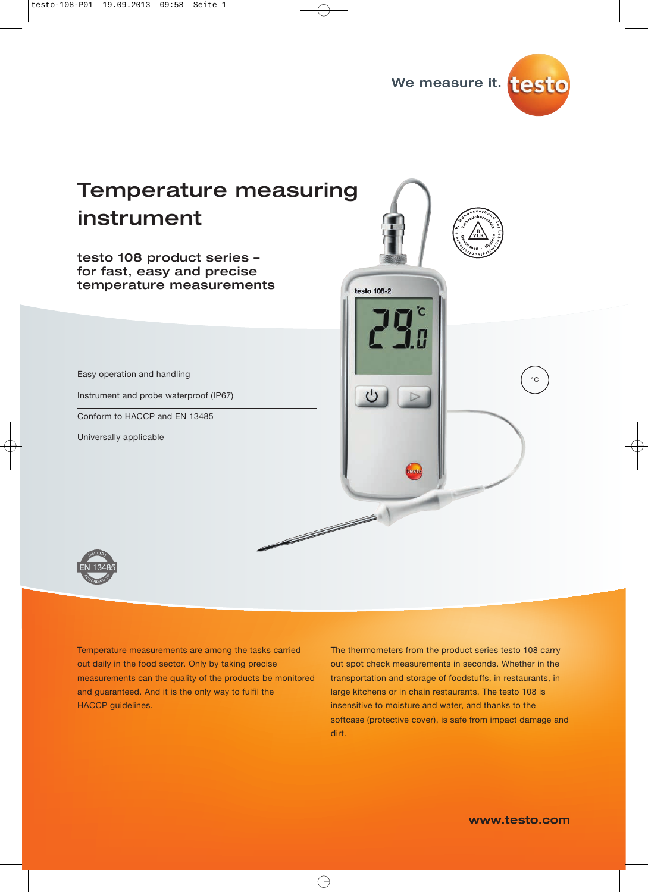

# Temperature measuring instrument

testo 108 product series – for fast, easy and precise temperature measurements

Easy operation and handling

Instrument and probe waterproof (IP67)

Conform to HACCP and EN 13485

Universally applicable





Temperature measurements are among the tasks carried out daily in the food sector. Only by taking precise measurements can the quality of the products be monitored and guaranteed. And it is the only way to fulfil the HACCP guidelines.

The thermometers from the product series testo 108 carry out spot check measurements in seconds. Whether in the transportation and storage of foodstuffs, in restaurants, in large kitchens or in chain restaurants. The testo 108 is insensitive to moisture and water, and thanks to the softcase (protective cover), is safe from impact damage and dirt.